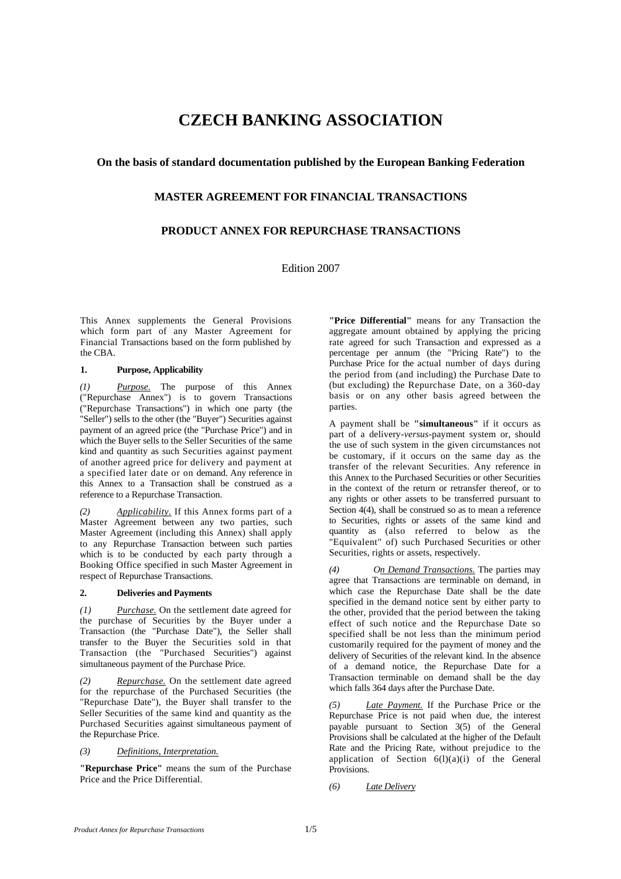# **CZECH BANKING ASSOCIATION**

# **On the basis of standard documentation published by the European Banking Federation**

# **MASTER AGREEMENT FOR FINANCIAL TRANSACTIONS**

# **PRODUCT ANNEX FOR REPURCHASE TRANSACTIONS**

Edition 2007

This Annex supplements the General Provisions which form part of any Master Agreement for Financial Transactions based on the form published by the CBA.

## **1. Purpose, Applicability**

*(1) Purpose.* The purpose of this Annex ("Repurchase Annex") is to govern Transactions ("Repurchase Transactions") in which one party (the "Seller") sells to the other (the "Buyer") Securities against payment of an agreed price (the "Purchase Price") and in which the Buyer sells to the Seller Securities of the same kind and quantity as such Securities against payment of another agreed price for delivery and payment at a specified later date or on demand. Any reference in this Annex to a Transaction shall be construed as a reference to a Repurchase Transaction.

*(2) Applicability.* If this Annex forms part of a Master Agreement between any two parties, such Master Agreement (including this Annex) shall apply to any Repurchase Transaction between such parties which is to be conducted by each party through a Booking Office specified in such Master Agreement in respect of Repurchase Transactions.

## **2. Deliveries and Payments**

*(1) Purchase.* On the settlement date agreed for the purchase of Securities by the Buyer under a Transaction (the "Purchase Date"), the Seller shall transfer to the Buyer the Securities sold in that Transaction (the "Purchased Securities") against simultaneous payment of the Purchase Price.

*(2) Repurchase.* On the settlement date agreed for the repurchase of the Purchased Securities (the "Repurchase Date"), the Buyer shall transfer to the Seller Securities of the same kind and quantity as the Purchased Securities against simultaneous payment of the Repurchase Price.

*(3) Definitions, Interpretation.*

**"Repurchase Price"** means the sum of the Purchase Price and the Price Differential.

**"Price Differential"** means for any Transaction the aggregate amount obtained by applying the pricing rate agreed for such Transaction and expressed as a percentage per annum (the "Pricing Rate") to the Purchase Price for the actual number of days during the period from (and including) the Purchase Date to (but excluding) the Repurchase Date, on a 360-day basis or on any other basis agreed between the parties.

A payment shall be **"simultaneous"** if it occurs as part of a delivery-*versus*-payment system or, should the use of such system in the given circumstances not be customary, if it occurs on the same day as the transfer of the relevant Securities. Any reference in this Annex to the Purchased Securities or other Securities in the context of the return or retransfer thereof, or to any rights or other assets to be transferred pursuant to Section 4(4), shall be construed so as to mean a reference to Securities, rights or assets of the same kind and quantity as (also referred to below as the "Equivalent" of) such Purchased Securities or other Securities, rights or assets, respectively.

*(4) On Demand Transactions.* The parties may agree that Transactions are terminable on demand, in which case the Repurchase Date shall be the date specified in the demand notice sent by either party to the other, provided that the period between the taking effect of such notice and the Repurchase Date so specified shall be not less than the minimum period customarily required for the payment of money and the delivery of Securities of the relevant kind. In the absence of a demand notice, the Repurchase Date for a Transaction terminable on demand shall be the day which falls 364 days after the Purchase Date.

*Late Payment.* If the Purchase Price or the Repurchase Price is not paid when due, the interest payable pursuant to Section 3(5) of the General Provisions shall be calculated at the higher of the Default Rate and the Pricing Rate, without prejudice to the application of Section  $6(1)(a)(i)$  of the General Provisions.

*(6) Late Delivery*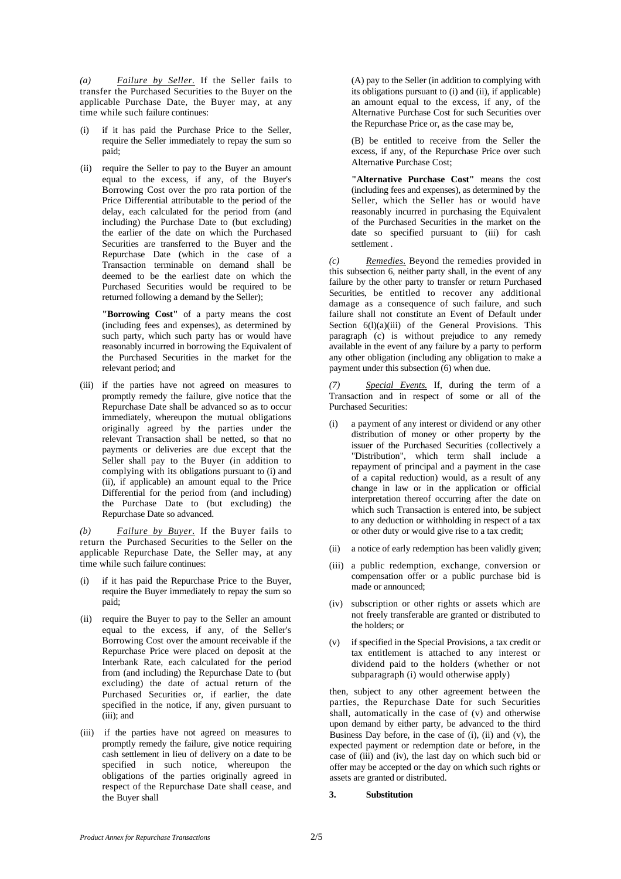*(a) Failure by Seller.* If the Seller fails to transfer the Purchased Securities to the Buyer on the applicable Purchase Date, the Buyer may, at any time while such failure continues:

- if it has paid the Purchase Price to the Seller, require the Seller immediately to repay the sum so paid;
- (ii) require the Seller to pay to the Buyer an amount equal to the excess, if any, of the Buyer's Borrowing Cost over the pro rata portion of the Price Differential attributable to the period of the delay, each calculated for the period from (and including) the Purchase Date to (but excluding) the earlier of the date on which the Purchased Securities are transferred to the Buyer and the Repurchase Date (which in the case of a Transaction terminable on demand shall be deemed to be the earliest date on which the Purchased Securities would be required to be returned following a demand by the Seller);

**"Borrowing Cost"** of a party means the cost (including fees and expenses), as determined by such party, which such party has or would have reasonably incurred in borrowing the Equivalent of the Purchased Securities in the market for the relevant period; and

(iii) if the parties have not agreed on measures to promptly remedy the failure, give notice that the Repurchase Date shall be advanced so as to occur immediately, whereupon the mutual obligations originally agreed by the parties under the relevant Transaction shall be netted, so that no payments or deliveries are due except that the Seller shall pay to the Buyer (in addition to complying with its obligations pursuant to (i) and (ii), if applicable) an amount equal to the Price Differential for the period from (and including) the Purchase Date to (but excluding) the Repurchase Date so advanced.

*(b) Failure by Buyer.* If the Buyer fails to return the Purchased Securities to the Seller on the applicable Repurchase Date, the Seller may, at any time while such failure continues:

- if it has paid the Repurchase Price to the Buyer, require the Buyer immediately to repay the sum so paid;
- (ii) require the Buyer to pay to the Seller an amount equal to the excess, if any, of the Seller's Borrowing Cost over the amount receivable if the Repurchase Price were placed on deposit at the Interbank Rate, each calculated for the period from (and including) the Repurchase Date to (but excluding) the date of actual return of the Purchased Securities or, if earlier, the date specified in the notice, if any, given pursuant to (iii); and
- (iii) if the parties have not agreed on measures to promptly remedy the failure, give notice requiring cash settlement in lieu of delivery on a date to be specified in such notice, whereupon the obligations of the parties originally agreed in respect of the Repurchase Date shall cease, and the Buyer shall

(A) pay to the Seller (in addition to complying with its obligations pursuant to (i) and (ii), if applicable) an amount equal to the excess, if any, of the Alternative Purchase Cost for such Securities over the Repurchase Price or, as the case may be,

(B) be entitled to receive from the Seller the excess, if any, of the Repurchase Price over such Alternative Purchase Cost;

**"Alternative Purchase Cost"** means the cost (including fees and expenses), as determined by the Seller, which the Seller has or would have reasonably incurred in purchasing the Equivalent of the Purchased Securities in the market on the date so specified pursuant to (iii) for cash settlement

*(c) Remedies.* Beyond the remedies provided in this subsection 6, neither party shall, in the event of any failure by the other party to transfer or return Purchased Securities, be entitled to recover any additional damage as a consequence of such failure, and such failure shall not constitute an Event of Default under Section  $6(1)(a)(iii)$  of the General Provisions. This paragraph (c) is without prejudice to any remedy available in the event of any failure by a party to perform any other obligation (including any obligation to make a payment under this subsection (6) when due.

*Special Events.* If, during the term of a Transaction and in respect of some or all of the Purchased Securities:

- (i) a payment of any interest or dividend or any other distribution of money or other property by the issuer of the Purchased Securities (collectively a "Distribution", which term shall include a repayment of principal and a payment in the case of a capital reduction) would, as a result of any change in law or in the application or official interpretation thereof occurring after the date on which such Transaction is entered into, be subject to any deduction or withholding in respect of a tax or other duty or would give rise to a tax credit;
- (ii) a notice of early redemption has been validly given;
- (iii) a public redemption, exchange, conversion or compensation offer or a public purchase bid is made or announced;
- (iv) subscription or other rights or assets which are not freely transferable are granted or distributed to the holders; or
- (v) if specified in the Special Provisions, a tax credit or tax entitlement is attached to any interest or dividend paid to the holders (whether or not subparagraph (i) would otherwise apply)

then, subject to any other agreement between the parties, the Repurchase Date for such Securities shall, automatically in the case of (v) and otherwise upon demand by either party, be advanced to the third Business Day before, in the case of (i), (ii) and (v), the expected payment or redemption date or before, in the case of (iii) and (iv), the last day on which such bid or offer may be accepted or the day on which such rights or assets are granted or distributed.

## **3. Substitution**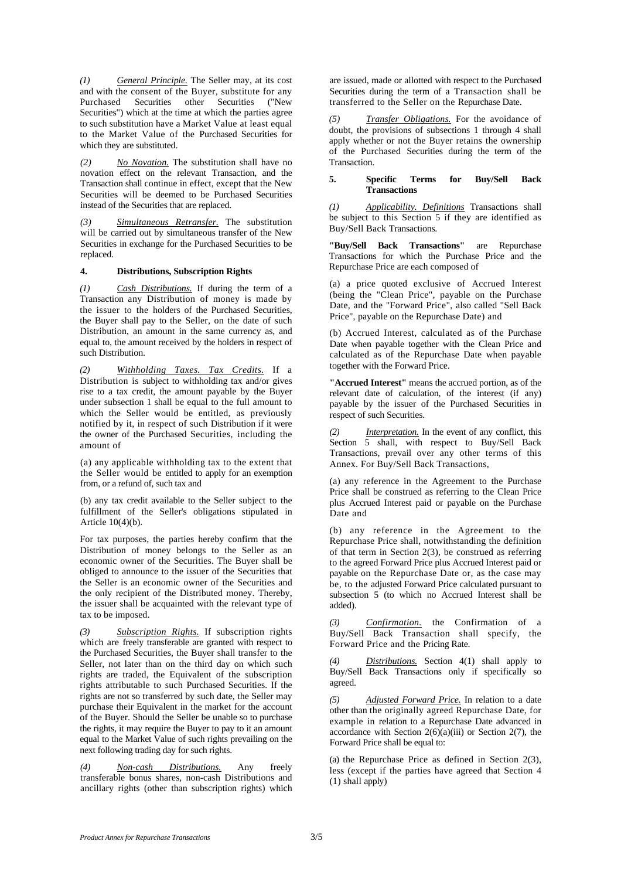*(1) General Principle.* The Seller may, at its cost and with the consent of the Buyer, substitute for any<br>Purchased Securities other Securities ("New Purchased Securities other Securities Securities") which at the time at which the parties agree to such substitution have a Market Value at least equal to the Market Value of the Purchased Securities for which they are substituted.

*(2) No Novation.* The substitution shall have no novation effect on the relevant Transaction, and the Transaction shall continue in effect, except that the New Securities will be deemed to be Purchased Securities instead of the Securities that are replaced.

*(3) Simultaneous Retransfer.* The substitution will be carried out by simultaneous transfer of the New Securities in exchange for the Purchased Securities to be replaced.

#### **4. Distributions, Subscription Rights**

*(1) Cash Distributions.* If during the term of a Transaction any Distribution of money is made by the issuer to the holders of the Purchased Securities, the Buyer shall pay to the Seller, on the date of such Distribution, an amount in the same currency as, and equal to, the amount received by the holders in respect of such Distribution.

*(2) Withholding Taxes. Tax Credits.* If a Distribution is subject to withholding tax and/or gives rise to a tax credit, the amount payable by the Buyer under subsection 1 shall be equal to the full amount to which the Seller would be entitled, as previously notified by it, in respect of such Distribution if it were the owner of the Purchased Securities, including the amount of

(a) any applicable withholding tax to the extent that the Seller would be entitled to apply for an exemption from, or a refund of, such tax and

(b) any tax credit available to the Seller subject to the fulfillment of the Seller's obligations stipulated in Article 10(4)(b).

For tax purposes, the parties hereby confirm that the Distribution of money belongs to the Seller as an economic owner of the Securities. The Buyer shall be obliged to announce to the issuer of the Securities that the Seller is an economic owner of the Securities and the only recipient of the Distributed money. Thereby, the issuer shall be acquainted with the relevant type of tax to be imposed.

*(3) Subscription Rights.* If subscription rights which are freely transferable are granted with respect to the Purchased Securities, the Buyer shall transfer to the Seller, not later than on the third day on which such rights are traded, the Equivalent of the subscription rights attributable to such Purchased Securities. If the rights are not so transferred by such date, the Seller may purchase their Equivalent in the market for the account of the Buyer. Should the Seller be unable so to purchase the rights, it may require the Buyer to pay to it an amount equal to the Market Value of such rights prevailing on the next following trading day for such rights.

*(4) Non-cash Distributions.* Any freely transferable bonus shares, non-cash Distributions and ancillary rights (other than subscription rights) which are issued, made or allotted with respect to the Purchased Securities during the term of a Transaction shall be transferred to the Seller on the Repurchase Date.

*(5) Transfer Obligations.* For the avoidance of doubt, the provisions of subsections 1 through 4 shall apply whether or not the Buyer retains the ownership of the Purchased Securities during the term of the Transaction.

#### **5. Specific Terms for Buy/Sell Back Transactions**

*(1) Applicability. Definitions* Transactions shall be subject to this Section 5 if they are identified as Buy/Sell Back Transactions.

**"Buy/Sell Back Transactions"** are Repurchase Transactions for which the Purchase Price and the Repurchase Price are each composed of

(a) a price quoted exclusive of Accrued Interest (being the "Clean Price", payable on the Purchase Date, and the "Forward Price", also called "Sell Back Price", payable on the Repurchase Date) and

(b) Accrued Interest, calculated as of the Purchase Date when payable together with the Clean Price and calculated as of the Repurchase Date when payable together with the Forward Price.

**"Accrued Interest"** means the accrued portion, as of the relevant date of calculation, of the interest (if any) payable by the issuer of the Purchased Securities in respect of such Securities.

*(2) Interpretation.* In the event of any conflict, this Section 5 shall, with respect to Buy/Sell Back Transactions, prevail over any other terms of this Annex. For Buy/Sell Back Transactions,

(a) any reference in the Agreement to the Purchase Price shall be construed as referring to the Clean Price plus Accrued Interest paid or payable on the Purchase Date and

(b) any reference in the Agreement to the Repurchase Price shall, notwithstanding the definition of that term in Section 2(3), be construed as referring to the agreed Forward Price plus Accrued Interest paid or payable on the Repurchase Date or, as the case may be, to the adjusted Forward Price calculated pursuant to subsection 5 (to which no Accrued Interest shall be added).

*(3) Confirmation.* the Confirmation of a Buy/Sell Back Transaction shall specify, the Forward Price and the Pricing Rate.

*(4) Distributions.* Section 4(1) shall apply to Buy/Sell Back Transactions only if specifically so agreed.

*(5) Adjusted Forward Price.* In relation to a date other than the originally agreed Repurchase Date, for example in relation to a Repurchase Date advanced in accordance with Section  $2(6)(a)(iii)$  or Section  $2(7)$ , the Forward Price shall be equal to:

(a) the Repurchase Price as defined in Section 2(3), less (except if the parties have agreed that Section 4 (1) shall apply)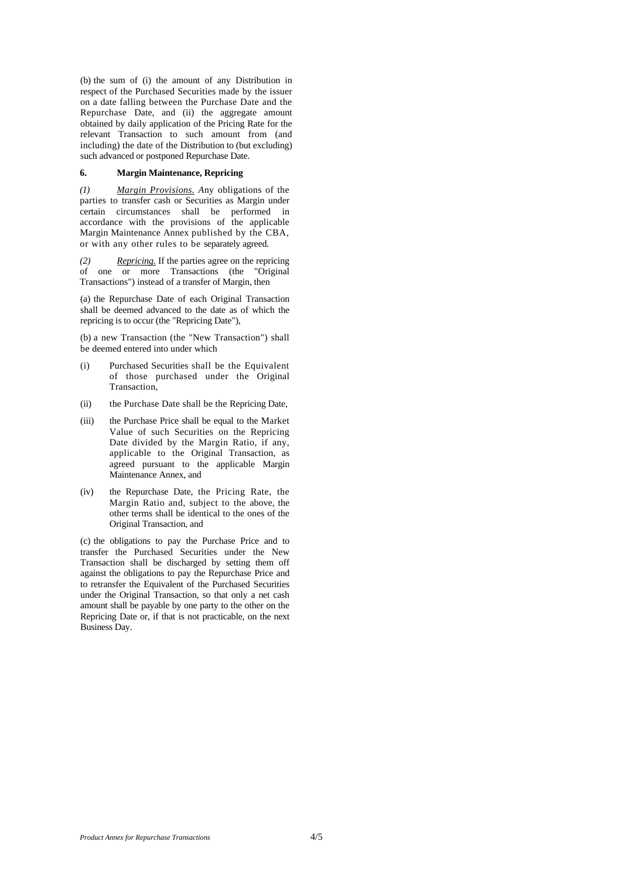(b) the sum of (i) the amount of any Distribution in respect of the Purchased Securities made by the issuer on a date falling between the Purchase Date and the Repurchase Date, and (ii) the aggregate amount obtained by daily application of the Pricing Rate for the relevant Transaction to such amount from (and including) the date of the Distribution to (but excluding) such advanced or postponed Repurchase Date.

### **6. Margin Maintenance, Repricing**

*(1) Margin Provisions. A*ny obligations of the parties to transfer cash or Securities as Margin under certain circumstances shall be performed in accordance with the provisions of the applicable Margin Maintenance Annex published by the CBA, or with any other rules to be separately agreed.

*(2) Repricing.* If the parties agree on the repricing of one or more Transactions (the "Original Transactions") instead of a transfer of Margin, then

(a) the Repurchase Date of each Original Transaction shall be deemed advanced to the date as of which the repricing is to occur (the "Repricing Date"),

(b) a new Transaction (the "New Transaction") shall be deemed entered into under which

- (i) Purchased Securities shall be the Equivalent of those purchased under the Original **Transaction**
- (ii) the Purchase Date shall be the Repricing Date,
- (iii) the Purchase Price shall be equal to the Market Value of such Securities on the Repricing Date divided by the Margin Ratio, if any, applicable to the Original Transaction, as agreed pursuant to the applicable Margin Maintenance Annex, and
- (iv) the Repurchase Date, the Pricing Rate, the Margin Ratio and, subject to the above, the other terms shall be identical to the ones of the Original Transaction, and

(c) the obligations to pay the Purchase Price and to transfer the Purchased Securities under the New Transaction shall be discharged by setting them off against the obligations to pay the Repurchase Price and to retransfer the Equivalent of the Purchased Securities under the Original Transaction, so that only a net cash amount shall be payable by one party to the other on the Repricing Date or, if that is not practicable, on the next Business Day.